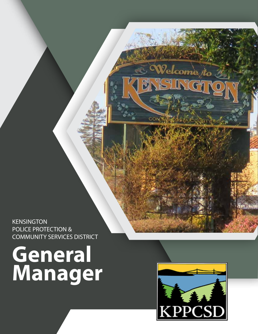**KENSINGTON** POLICE PROTECTION & COMMUNITY SERVICES DISTRICT

# **General Manager**



Welcome<sub>/to</sub>

CON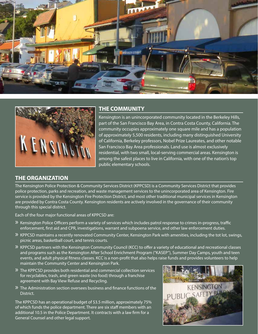



### **THE COMMUNITY**

Kensington is an unincorporated community located in the Berkeley Hills, part of the San Francisco Bay Area, in Contra Costa County, California. The community occupies approximately one square mile and has a population of approximately 5,500 residents, including many distinguished University of California, Berkeley professors, Nobel Prize Laureates, and other notable San Francisco Bay Area professionals. Land use is almost exclusively residential, with two small, local-serving commercial areas. Kensington is among the safest places to live in California, with one of the nation's top public elementary schools.

# **THE ORGANIZATION**

The Kensington Police Protection & Community Services District (KPPCSD) is a Community Services District that provides police protection, parks and recreation, and waste management services to the unincorporated area of Kensington. Fire service is provided by the Kensington Fire Protection District, and most other traditional municipal services in Kensington are provided by Contra Costa County. Kensington residents are actively involved in the governance of their community through this special district.

Each of the four major functional areas of KPPCSD are:

- » Kensington Police Officers perform a variety of services which includes patrol response to crimes in-progress, traffic enforcement, first aid and CPR, investigations, warrant and subpoena service, and other law enforcement duties.
- » KPPCSD maintains a recently renovated Community Center, Kensington Park with amenities, including the tot lot, swings, picnic areas, basketball court, and tennis courts.
- » KPPCSD partners with the Kensington Community Council (KCC) to offer a variety of educational and recreational classes and programs such as the Kensington After School Enrichment Program ("KASEP"), Summer Day Camps, youth and teen events, and adult physical fitness classes. KCC is a non-profit that also helps raise funds and provides volunteers to help maintain the Community Center and Kensington Park.
- » The KPPCSD provides both residential and commercial collection services for recyclables, trash, and green waste (no food) through a franchise agreement with Bay View Refuse and Recycling.
- » The Administration section oversees business and finance functions of the District.

The KPPCSD has an operational budget of \$3.5 million, approximately 75% of which funds the police department. There are six staff members with an additional 10.5 in the Police Department. It contracts with a law firm for a General Counsel and other legal support.

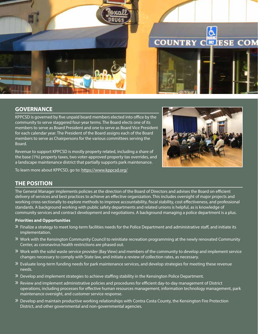

# **GOVERNANCE**

KPPCSD is governed by five unpaid board members elected into office by the community to serve staggered four-year terms. The Board elects one of its members to serve as Board President and one to serve as Board Vice President for each calendar year. The President of the Board assigns each of the Board members to serve as Chairpersons for the various committees serving the Board.

Revenue to support KPPCSD is mostly property related, including a share of the base (1%) property taxes, two voter-approved property tax overrides, and a landscape maintenance district that partially supports park maintenance.

To learn more about KPPCSD, go to:<https://www.kppcsd.org/>



# **THE POSITION**

The General Manager implements policies at the direction of the Board of Directors and advises the Board on efficient delivery of services and best practices to achieve an effective organization. This includes oversight of major projects and working cross-sectionally to explore methods to improve accountability, fiscal stability, cost effectiveness, and professional standards. A background working with public safety departments and related unions is helpful, as is knowledge of community services and contract development and negotiations. A background managing a police department is a plus.

#### **Priorities and Opportunities**

- $\mathcal Y$  Finalize a strategy to meet long-term facilities needs for the Police Department and administrative staff, and initiate its implementation.
- » Work with the Kensington Community Council to reinitiate recreation programming at the newly renovated Community Center, as coronavirus health restrictions are phased out.
- » Work with the solid waste service provider (Bay View) and members of the community to develop and implement service changes necessary to comply with State law, and initiate a review of collection rates, as necessary.
- » Evaluate long-term funding needs for park maintenance services, and develop strategies for meeting these revenue needs.
- » Develop and implement strategies to achieve staffing stability in the Kensington Police Department.
- » Review and implement administrative policies and procedures for efficient day-to-day management of District operations, including processes for effective human resources management, information technology management, park maintenance oversight, and customer service response.
- » Develop and maintain productive working relationships with Contra Costa County, the Kensington Fire Protection District, and other governmental and non-governmental agencies.